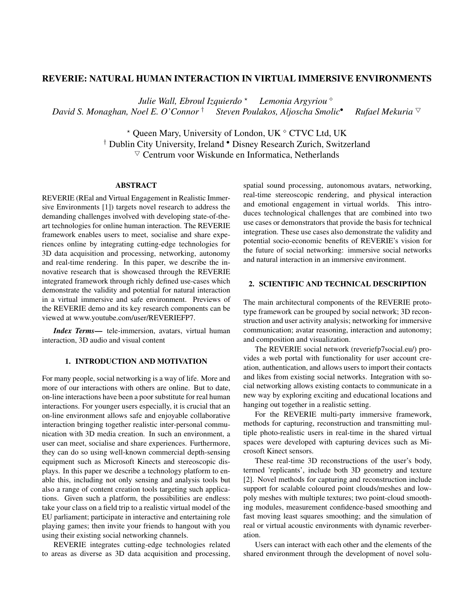# REVERIE: NATURAL HUMAN INTERACTION IN VIRTUAL IMMERSIVE ENVIRONMENTS

*Julie Wall, Ebroul Izquierdo* ? *Lemonia Argyriou David S. Monaghan, Noel E. O'Connor* **† Steven Poulakos, Aljoscha Smolic• Rufael Mekuria ▽** 

> $*$  Queen Mary, University of London, UK  $\circ$  CTVC Ltd, UK † Dublin City University, Ireland • Disney Research Zurich, Switzerland  $\triangledown$  Centrum voor Wiskunde en Informatica, Netherlands

### ABSTRACT

REVERIE (REal and Virtual Engagement in Realistic Immersive Environments [1]) targets novel research to address the demanding challenges involved with developing state-of-theart technologies for online human interaction. The REVERIE framework enables users to meet, socialise and share experiences online by integrating cutting-edge technologies for 3D data acquisition and processing, networking, autonomy and real-time rendering. In this paper, we describe the innovative research that is showcased through the REVERIE integrated framework through richly defined use-cases which demonstrate the validity and potential for natural interaction in a virtual immersive and safe environment. Previews of the REVERIE demo and its key research components can be viewed at www.youtube.com/user/REVERIEFP7.

*Index Terms*— tele-immersion, avatars, virtual human interaction, 3D audio and visual content

### 1. INTRODUCTION AND MOTIVATION

For many people, social networking is a way of life. More and more of our interactions with others are online. But to date, on-line interactions have been a poor substitute for real human interactions. For younger users especially, it is crucial that an on-line environment allows safe and enjoyable collaborative interaction bringing together realistic inter-personal communication with 3D media creation. In such an environment, a user can meet, socialise and share experiences. Furthermore, they can do so using well-known commercial depth-sensing equipment such as Microsoft Kinects and stereoscopic displays. In this paper we describe a technology platform to enable this, including not only sensing and analysis tools but also a range of content creation tools targeting such applications. Given such a platform, the possibilities are endless: take your class on a field trip to a realistic virtual model of the EU parliament; participate in interactive and entertaining role playing games; then invite your friends to hangout with you using their existing social networking channels.

REVERIE integrates cutting-edge technologies related to areas as diverse as 3D data acquisition and processing,

spatial sound processing, autonomous avatars, networking, real-time stereoscopic rendering, and physical interaction and emotional engagement in virtual worlds. This introduces technological challenges that are combined into two use cases or demonstrators that provide the basis for technical integration. These use cases also demonstrate the validity and potential socio-economic benefits of REVERIE's vision for the future of social networking: immersive social networks and natural interaction in an immersive environment.

## 2. SCIENTIFIC AND TECHNICAL DESCRIPTION

The main architectural components of the REVERIE prototype framework can be grouped by social network; 3D reconstruction and user activity analysis; networking for immersive communication; avatar reasoning, interaction and autonomy; and composition and visualization.

The REVERIE social network (reveriefp7social.eu/) provides a web portal with functionality for user account creation, authentication, and allows users to import their contacts and likes from existing social networks. Integration with social networking allows existing contacts to communicate in a new way by exploring exciting and educational locations and hanging out together in a realistic setting.

For the REVERIE multi-party immersive framework, methods for capturing, reconstruction and transmitting multiple photo-realistic users in real-time in the shared virtual spaces were developed with capturing devices such as Microsoft Kinect sensors.

These real-time 3D reconstructions of the user's body, termed 'replicants', include both 3D geometry and texture [2]. Novel methods for capturing and reconstruction include support for scalable coloured point clouds/meshes and lowpoly meshes with multiple textures; two point-cloud smoothing modules, measurement confidence-based smoothing and fast moving least squares smoothing; and the simulation of real or virtual acoustic environments with dynamic reverberation.

Users can interact with each other and the elements of the shared environment through the development of novel solu-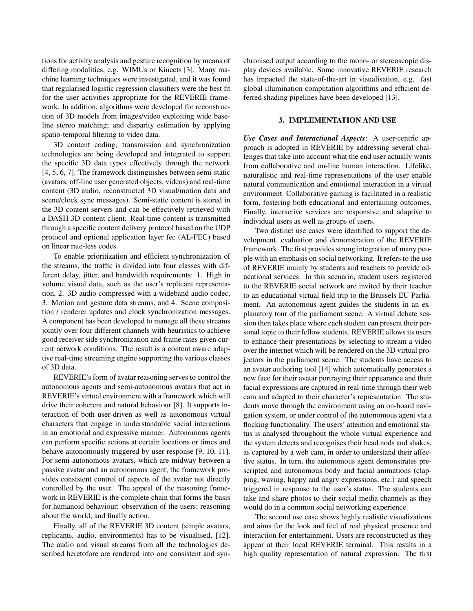tions for activity analysis and gesture recognition by means of differing modalities, e.g. WIMUs or Kinects [3]. Many machine learning techniques were investigated, and it was found that regularised logistic regression classifiers were the best fit for the user activities appropriate for the REVERIE framework. In addition, algorithms were developed for reconstruction of 3D models from images/video exploiting wide baseline stereo matching; and disparity estimation by applying spatio-temporal filtering to video data.

3D content coding, transmission and synchronization technologies are being developed and integrated to support the specific 3D data types effectively through the network [4, 5, 6, 7]. The framework distinguishes between semi-static (avatars, off-line user generated objects, videos) and real-time content (3D audio, reconstructed 3D visual/motion data and scene/clock sync messages). Semi-static content is stored in the 3D content servers and can be effectively retrieved with a DASH 3D content client. Real-time content is transmitted through a specific content delivery protocol based on the UDP protocol and optional application layer fec (AL-FEC) based on linear rate-less codes.

To enable prioritization and efficient synchronization of the streams, the traffic is divided into four classes with different delay, jitter, and bandwidth requirements: 1. High in volume visual data, such as the user's replicant representation, 2. 3D audio compressed with a wideband audio codec, 3. Motion and gesture data streams, and 4. Scene composition / renderer updates and clock synchronization messages. A component has been developed to manage all these streams jointly over four different channels with heuristics to achieve good receiver side synchronization and frame rates given current network conditions. The result is a content aware adaptive real-time streaming engine supporting the various classes of 3D data.

REVERIE's form of avatar reasoning serves to control the autonomous agents and semi-autonomous avatars that act in REVERIE's virtual environment with a framework which will drive their coherent and natural behaviour [8]. It supports interaction of both user-driven as well as autonomous virtual characters that engage in understandable social interactions in an emotional and expressive manner. Autonomous agents can perform specific actions at certain locations or times and behave autonomously triggered by user response [9, 10, 11]. For semi-autonomous avatars, which are midway between a passive avatar and an autonomous agent, the framework provides consistent control of aspects of the avatar not directly controlled by the user. The appeal of the reasoning framework in REVERIE is the complete chain that forms the basis for humanoid behaviour: observation of the users; reasoning about the world; and finally action.

Finally, all of the REVERIE 3D content (simple avatars, replicants, audio, environments) has to be visualised, [12]. The audio and visual streams from all the technologies described heretofore are rendered into one consistent and synchronised output according to the mono- or stereoscopic display devices available. Some innovative REVERIE research has impacted the state-of-the-art in visualisation, e.g. fast global illumination computation algorithms and efficient deferred shading pipelines have been developed [13].

#### 3. IMPLEMENTATION AND USE

*Use Cases and Interactional Aspects*: A user-centric approach is adopted in REVERIE by addressing several challenges that take into account what the end user actually wants from collaborative and on-line human interaction. Lifelike, naturalistic and real-time representations of the user enable natural communication and emotional interaction in a virtual environment. Collaborative gaming is facilitated in a realistic form, fostering both educational and entertaining outcomes. Finally, interactive services are responsive and adaptive to individual users as well as groups of users.

Two distinct use cases were identified to support the development, evaluation and demonstration of the REVERIE framework. The first provides strong integration of many people with an emphasis on social networking. It refers to the use of REVERIE mainly by students and teachers to provide educational services. In this scenario, student users registered to the REVERIE social network are invited by their teacher to an educational virtual field trip to the Brussels EU Parliament. An autonomous agent guides the students in an explanatory tour of the parliament scene. A virtual debate session then takes place where each student can present their personal topic to their fellow students. REVERIE allows its users to enhance their presentations by selecting to stream a video over the internet which will be rendered on the 3D virtual projectors in the parliament scene. The students have access to an avatar authoring tool [14] which automatically generates a new face for their avatar portraying their appearance and their facial expressions are captured in real-time through their web cam and adapted to their character's representation. The students move through the environment using an on-board navigation system, or under control of the autonomous agent via a flocking functionality. The users' attention and emotional status is analysed throughout the whole virtual experience and the system detects and recognises their head nods and shakes, as captured by a web cam, in order to understand their affective status. In turn, the autonomous agent demonstrates prescripted and autonomous body and facial animations (clapping, waving, happy and angry expressions, etc.) and speech triggered in response to the user's status. The students can take and share photos to their social media channels as they would do in a common social networking experience.

The second use case shows highly realistic visualizations and aims for the look and feel of real physical presence and interaction for entertainment. Users are reconstructed as they appear at their local REVERIE terminal. This results in a high quality representation of natural expression. The first